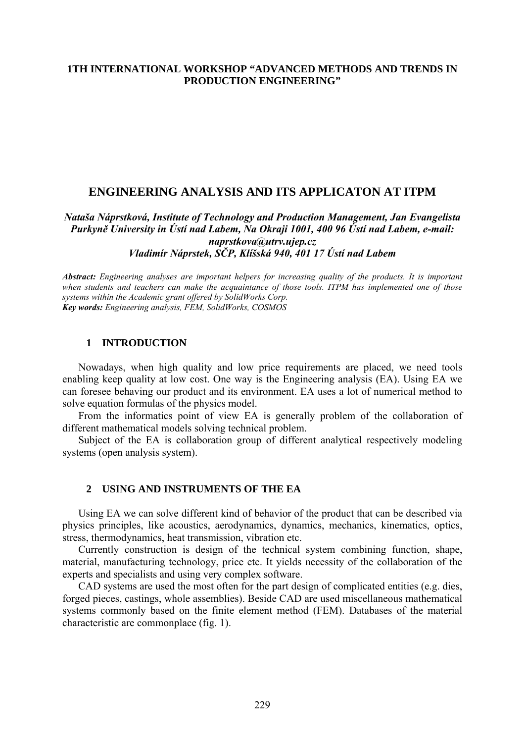## **1TH INTERNATIONAL WORKSHOP "ADVANCED METHODS AND TRENDS IN PRODUCTION ENGINEERING"**

# **ENGINEERING ANALYSIS AND ITS APPLICATON AT ITPM**

*Nataša Náprstková, Institute of Technology and Production Management, Jan Evangelista Purkyně University in Ústí nad Labem, Na Okraji 1001, 400 96 Ústí nad Labem, e-mail: naprstkova@utrv.ujep.cz Vladimír Náprstek, SČP, Klíšská 940, 401 17 Ústí nad Labem* 

*Abstract: Engineering analyses are important helpers for increasing quality of the products. It is important when students and teachers can make the acquaintance of those tools. ITPM has implemented one of those systems within the Academic grant offered by SolidWorks Corp. Key words: Engineering analysis, FEM, SolidWorks, COSMOS*

## **1 INTRODUCTION**

Nowadays, when high quality and low price requirements are placed, we need tools enabling keep quality at low cost. One way is the Engineering analysis (EA). Using EA we can foresee behaving our product and its environment. EA uses a lot of numerical method to solve equation formulas of the physics model.

From the informatics point of view EA is generally problem of the collaboration of different mathematical models solving technical problem.

Subject of the EA is collaboration group of different analytical respectively modeling systems (open analysis system).

### **2 USING AND INSTRUMENTS OF THE EA**

Using EA we can solve different kind of behavior of the product that can be described via physics principles, like acoustics, aerodynamics, dynamics, mechanics, kinematics, optics, stress, thermodynamics, heat transmission, vibration etc.

Currently construction is design of the technical system combining function, shape, material, manufacturing technology, price etc. It yields necessity of the collaboration of the experts and specialists and using very complex software.

CAD systems are used the most often for the part design of complicated entities (e.g. dies, forged pieces, castings, whole assemblies). Beside CAD are used miscellaneous mathematical systems commonly based on the finite element method (FEM). Databases of the material characteristic are commonplace (fig. 1).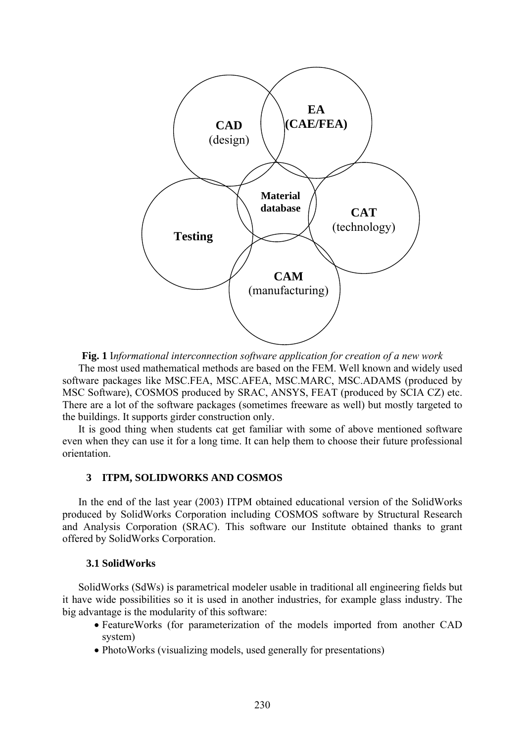

**Fig. 1** I*nformational interconnection software application for creation of a new work* 

The most used mathematical methods are based on the FEM. Well known and widely used software packages like MSC.FEA, MSC.AFEA, MSC.MARC, MSC.ADAMS (produced by MSC Software), COSMOS produced by SRAC, ANSYS, FEAT (produced by SCIA CZ) etc. There are a lot of the software packages (sometimes freeware as well) but mostly targeted to the buildings. It supports girder construction only.

It is good thing when students cat get familiar with some of above mentioned software even when they can use it for a long time. It can help them to choose their future professional orientation.

## **3 ITPM, SOLIDWORKS AND COSMOS**

In the end of the last year (2003) ITPM obtained educational version of the SolidWorks produced by SolidWorks Corporation including COSMOS software by Structural Research and Analysis Corporation (SRAC). This software our Institute obtained thanks to grant offered by SolidWorks Corporation.

#### **3.1 SolidWorks**

SolidWorks (SdWs) is parametrical modeler usable in traditional all engineering fields but it have wide possibilities so it is used in another industries, for example glass industry. The big advantage is the modularity of this software:

- FeatureWorks (for parameterization of the models imported from another CAD system)
- PhotoWorks (visualizing models, used generally for presentations)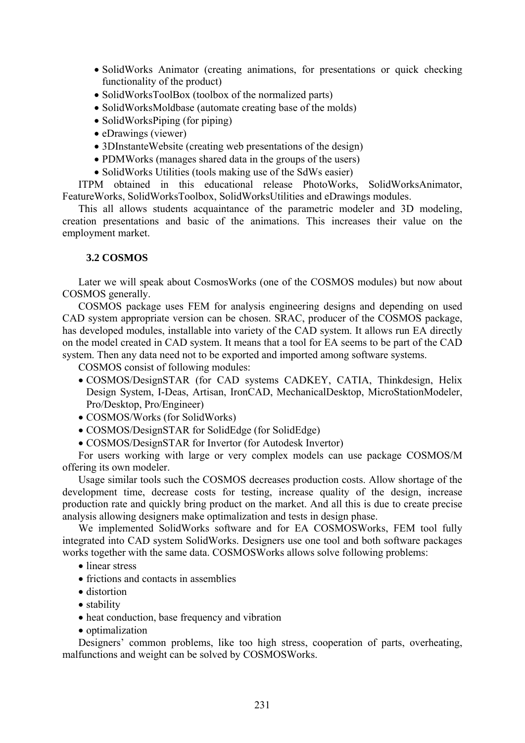- SolidWorks Animator (creating animations, for presentations or quick checking functionality of the product)
- SolidWorksToolBox (toolbox of the normalized parts)
- SolidWorksMoldbase (automate creating base of the molds)
- SolidWorksPiping (for piping)
- eDrawings (viewer)
- 3DInstanteWebsite (creating web presentations of the design)
- PDMWorks (manages shared data in the groups of the users)
- SolidWorks Utilities (tools making use of the SdWs easier)

ITPM obtained in this educational release PhotoWorks, SolidWorksAnimator, FeatureWorks, SolidWorksToolbox, SolidWorksUtilities and eDrawings modules.

This all allows students acquaintance of the parametric modeler and 3D modeling, creation presentations and basic of the animations. This increases their value on the employment market.

## **3.2 COSMOS**

Later we will speak about CosmosWorks (one of the COSMOS modules) but now about COSMOS generally.

COSMOS package uses FEM for analysis engineering designs and depending on used CAD system appropriate version can be chosen. SRAC, producer of the COSMOS package, has developed modules, installable into variety of the CAD system. It allows run EA directly on the model created in CAD system. It means that a tool for EA seems to be part of the CAD system. Then any data need not to be exported and imported among software systems.

COSMOS consist of following modules:

- COSMOS/DesignSTAR (for CAD systems CADKEY, CATIA, Thinkdesign, Helix Design System, I-Deas, Artisan, IronCAD, MechanicalDesktop, MicroStationModeler, Pro/Desktop, Pro/Engineer)
- COSMOS/Works (for SolidWorks)
- COSMOS/DesignSTAR for SolidEdge (for SolidEdge)
- COSMOS/DesignSTAR for Invertor (for Autodesk Invertor)

For users working with large or very complex models can use package COSMOS/M offering its own modeler.

Usage similar tools such the COSMOS decreases production costs. Allow shortage of the development time, decrease costs for testing, increase quality of the design, increase production rate and quickly bring product on the market. And all this is due to create precise analysis allowing designers make optimalization and tests in design phase.

We implemented SolidWorks software and for EA COSMOSWorks, FEM tool fully integrated into CAD system SolidWorks. Designers use one tool and both software packages works together with the same data. COSMOSWorks allows solve following problems:

- linear stress
- frictions and contacts in assemblies
- distortion
- stability
- heat conduction, base frequency and vibration
- optimalization

Designers' common problems, like too high stress, cooperation of parts, overheating, malfunctions and weight can be solved by COSMOSWorks.